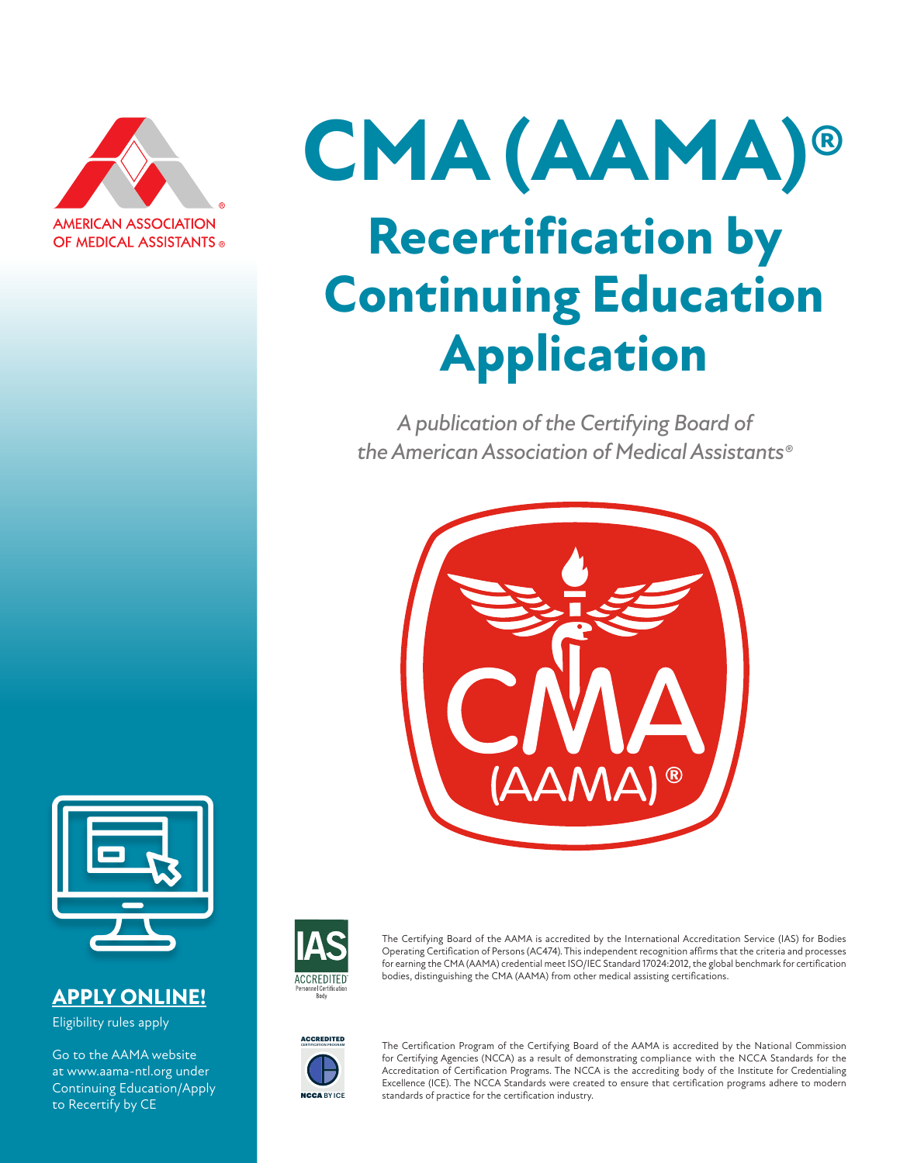

# **CMA (AAMA)® Recertification by Continuing Education Application**

*A publication of the Certifying Board of the American Association of Medical Assistants®*





#### **APPLY ONLINE!**

Eligibility rules apply

Go to the AAMA website at www.aama-ntl.org under Continuing Education/Apply to Recertify by CE



The Certifying Board of the AAMA is accredited by the International Accreditation Service (IAS) for Bodies Operating Certification of Persons (AC474). This independent recognition affirms that the criteria and processes for earning the CMA (AAMA) credential meet ISO/IEC Standard 17024:2012, the global benchmark for certification bodies, distinguishing the CMA (AAMA) from other medical assisting certifications.



The Certification Program of the Certifying Board of the AAMA is accredited by the National Commission for Certifying Agencies (NCCA) as a result of demonstrating compliance with the NCCA Standards for the Accreditation of Certification Programs. The NCCA is the accrediting body of the Institute for Credentialing Excellence (ICE). The NCCA Standards were created to ensure that certification programs adhere to modern standards of practice for the certification industry.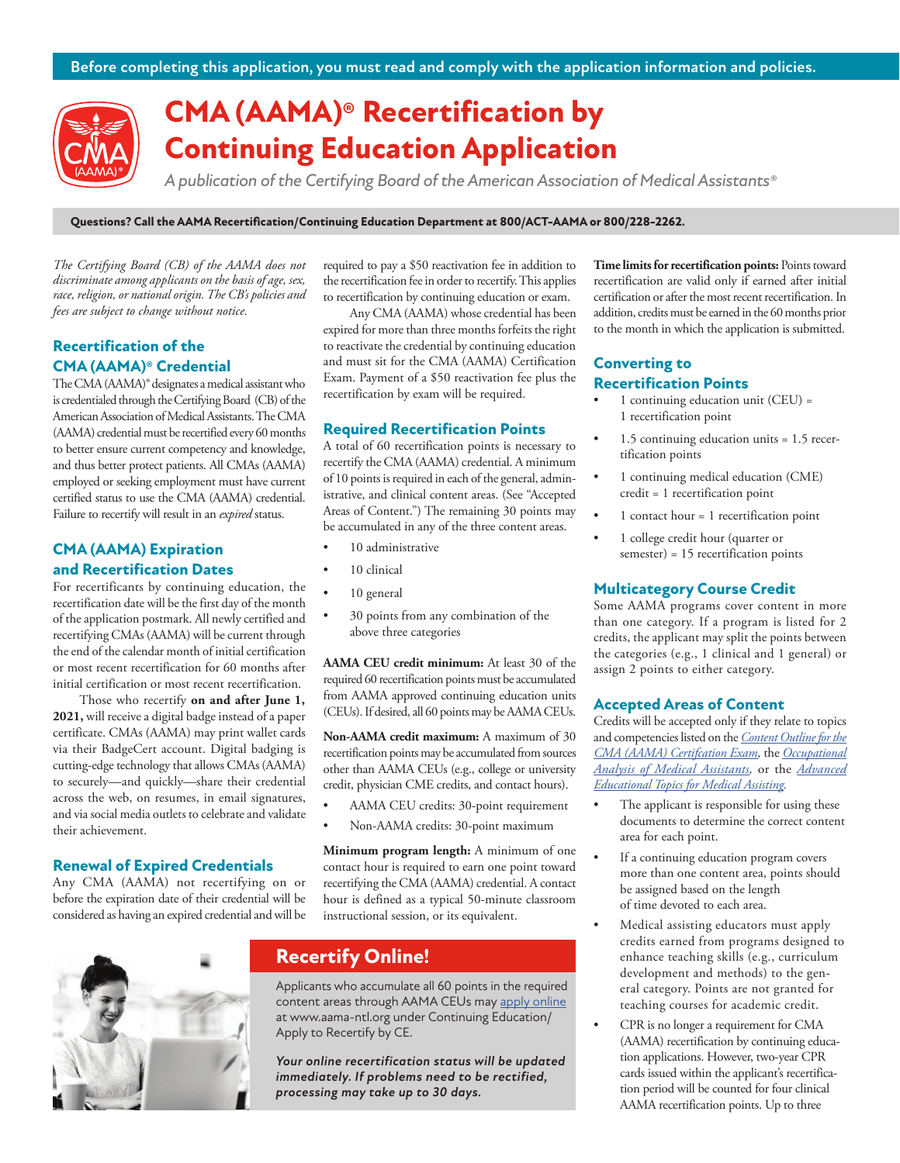

## **CMA (AAMA)® Recertification by Continuing Education Application**

*A publication of the Certifying Board of the American Association of Medical Assistants®*

**Questions? Call the AAMA Recertification/Continuing Education Department at 800/ACT-AAMA or 800/228-2262.**

*The Certifying Board (CB) of the AAMA does not discriminate among applicants on the basis of age, sex, race, religion, or national origin. The CB's policies and fees are subject to change without notice.*

#### **Recertification of the CMA (AAMA)® Credential**

The CMA (AAMA)® designates a medical assistant who is credentialed through the Certifying Board (CB) of the American Association of Medical Assistants. The CMA (AAMA) credential must be recertified every 60 months to better ensure current competency and knowledge, and thus better protect patients. All CMAs (AAMA) employed or seeking employment must have current certified status to use the CMA (AAMA) credential. Failure to recertify will result in an *expired* status.

#### **CMA (AAMA) Expiration and Recertification Dates**

For recertificants by continuing education, the recertification date will be the first day of the month of the application postmark. All newly certified and recertifying CMAs (AAMA) will be current through the end of the calendar month of initial certification or most recent recertification for 60 months after initial certification or most recent recertification.

Those who recertify **on and after June 1, 2021,** will receive a digital badge instead of a paper certificate. CMAs (AAMA) may print wallet cards via their BadgeCert account. Digital badging is cutting-edge technology that allows CMAs (AAMA) to securely—and quickly—share their credential across the web, on resumes, in email signatures, and via social media outlets to celebrate and validate their achievement.

#### **Renewal of Expired Credentials**

Any CMA (AAMA) not recertifying on or before the expiration date of their credential will be considered as having an expired credential and will be required to pay a \$50 reactivation fee in addition to the recertification fee in order to recertify. This applies to recertification by continuing education or exam.

Any CMA (AAMA) whose credential has been expired for more than three months forfeits the right to reactivate the credential by continuing education and must sit for the CMA (AAMA) Certification Exam. Payment of a \$50 reactivation fee plus the recertification by exam will be required.

#### **Required Recertification Points**

A total of 60 recertification points is necessary to recertify the CMA (AAMA) credential. A minimum of 10 points is required in each of the general, administrative, and clinical content areas. (See "Accepted Areas of Content.") The remaining 30 points may be accumulated in any of the three content areas.

- 10 administrative
- 10 clinical
- 10 general
- 30 points from any combination of the above three categories

**AAMA CEU credit minimum:** At least 30 of the required 60 recertification points must be accumulated from AAMA approved continuing education units (CEUs). If desired, all 60 points may be AAMA CEUs.

**Non-AAMA credit maximum:** A maximum of 30 recertification points may be accumulated from sources other than AAMA CEUs (e.g., college or university credit, physician CME credits, and contact hours).

- AAMA CEU credits: 30-point requirement
- Non-AAMA credits: 30-point maximum

**Minimum program length:** A minimum of one contact hour is required to earn one point toward recertifying the CMA (AAMA) credential. A contact hour is defined as a typical 50-minute classroom instructional session, or its equivalent.



#### **Recertify Online!**

Applicants who accumulate all 60 points in the required content areas through AAMA CEUs may apply online at www.aama-ntl.org under Continuing Education/ Apply to Recertify by CE.

*Your online recertification status will be updated immediately. If problems need to be rectified, processing may take up to 30 days.*

**Time limits for recertification points:** Points toward recertification are valid only if earned after initial certification or after the most recent recertification. In addition, credits must be earned in the 60 months prior to the month in which the application is submitted.

#### **Converting to Recertification Points**

- 1 continuing education unit (CEU) = 1 recertification point
- 1.5 continuing education units = 1.5 recertification points
- 1 continuing medical education (CME) credit = 1 recertification point
- 1 contact hour = 1 recertification point
- 1 college credit hour (quarter or semester) = 15 recertification points

#### **Multicategory Course Credit**

Some AAMA programs cover content in more than one category. If a program is listed for 2 credits, the applicant may split the points between the categories (e.g., 1 clinical and 1 general) or assign 2 points to either category.

#### **Accepted Areas of Content**

Credits will be accepted only if they relate to topics and competencies listed on the *Content Outline for the CMA (AAMA) Certifcation Exam,* the *Occupational Analysis of Medical Assistants,* or the *Advanced Educational Topics for Medical Assisting.*

- The applicant is responsible for using these documents to determine the correct content area for each point.
- If a continuing education program covers more than one content area, points should be assigned based on the length of time devoted to each area.
- Medical assisting educators must apply credits earned from programs designed to enhance teaching skills (e.g., curriculum development and methods) to the general category. Points are not granted for teaching courses for academic credit.
- CPR is no longer a requirement for CMA (AAMA) recertification by continuing education applications. However, two-year CPR cards issued within the applicant's recertification period will be counted for four clinical AAMA recertification points. Up to three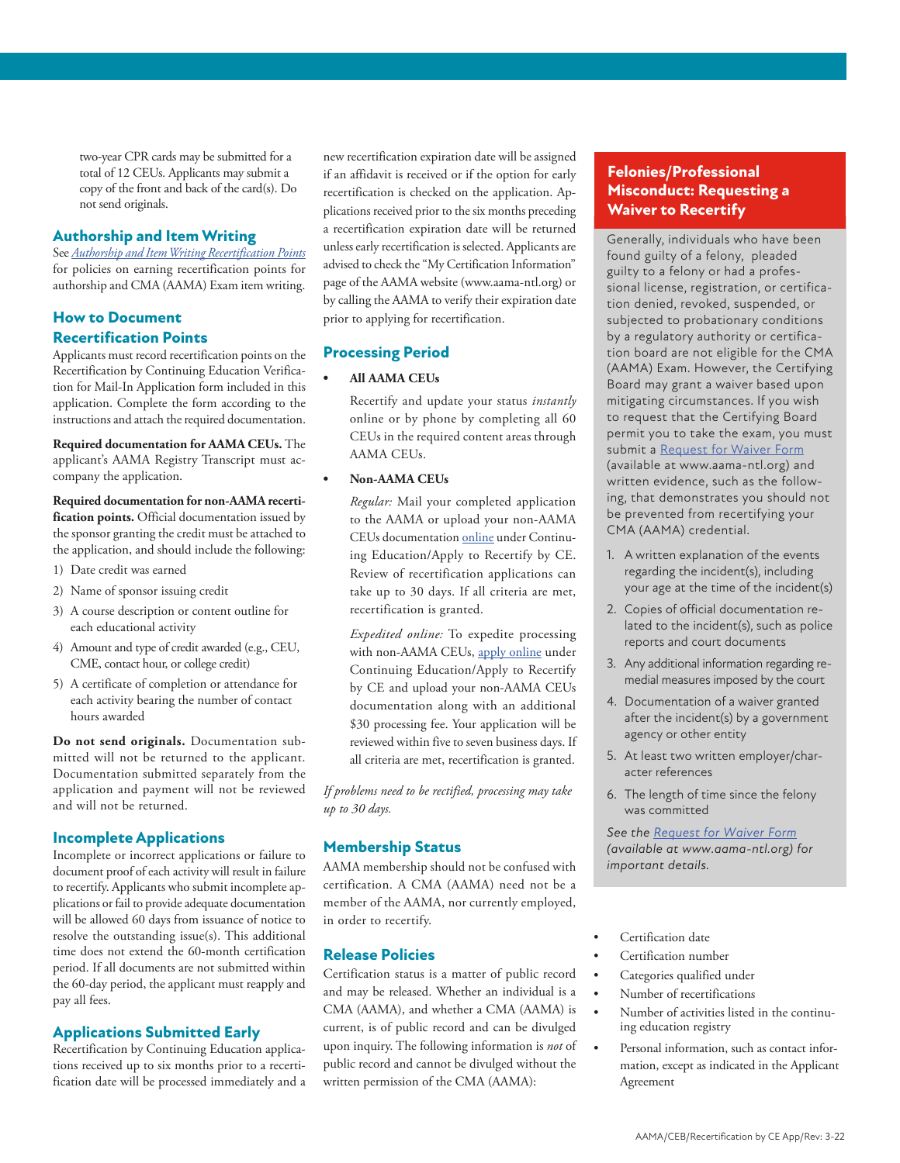two-year CPR cards may be submitted for a total of 12 CEUs. Applicants may submit a copy of the front and back of the card(s). Do not send originals.

#### **Authorship and Item Writing**

See *Authorship and Item Writing Recertification Points* for policies on earning recertification points for authorship and CMA (AAMA) Exam item writing.

#### **How to Document Recertification Points**

Applicants must record recertification points on the Recertification by Continuing Education Verification for Mail-In Application form included in this application. Complete the form according to the instructions and attach the required documentation.

**Required documentation for AAMA CEUs.** The applicant's AAMA Registry Transcript must accompany the application.

#### **Required documentation for non-AAMA recertification points.** Official documentation issued by the sponsor granting the credit must be attached to the application, and should include the following:

- 1) Date credit was earned
- 2) Name of sponsor issuing credit
- 3) A course description or content outline for each educational activity
- 4) Amount and type of credit awarded (e.g., CEU, CME, contact hour, or college credit)
- 5) A certificate of completion or attendance for each activity bearing the number of contact hours awarded

**Do not send originals.** Documentation submitted will not be returned to the applicant. Documentation submitted separately from the application and payment will not be reviewed and will not be returned.

#### **Incomplete Applications**

Incomplete or incorrect applications or failure to document proof of each activity will result in failure to recertify. Applicants who submit incomplete applications or fail to provide adequate documentation will be allowed 60 days from issuance of notice to resolve the outstanding issue(s). This additional time does not extend the 60-month certification period. If all documents are not submitted within the 60-day period, the applicant must reapply and pay all fees.

#### **Applications Submitted Early**

Recertification by Continuing Education applications received up to six months prior to a recertification date will be processed immediately and a

new recertification expiration date will be assigned if an affidavit is received or if the option for early recertification is checked on the application. Applications received prior to the six months preceding a recertification expiration date will be returned unless early recertification is selected. Applicants are advised to check the "My Certification Information" page of the AAMA website (www.aama-ntl.org) or by calling the AAMA to verify their expiration date prior to applying for recertification.

#### **Processing Period**

#### **• All AAMA CEUs**

Recertify and update your status *instantly* online or by phone by completing all 60 CEUs in the required content areas through AAMA CEUs.

#### **• Non-AAMA CEUs**

*Regular:* Mail your completed application to the AAMA or upload your non-AAMA CEUs documentation online under Continuing Education/Apply to Recertify by CE. Review of recertification applications can take up to 30 days. If all criteria are met, recertification is granted.

*Expedited online:* To expedite processing with non-AAMA CEUs, apply online under Continuing Education/Apply to Recertify by CE and upload your non-AAMA CEUs documentation along with an additional \$30 processing fee. Your application will be reviewed within five to seven business days. If all criteria are met, recertification is granted.

*If problems need to be rectified, processing may take up to 30 days.*

#### **Membership Status**

AAMA membership should not be confused with certification. A CMA (AAMA) need not be a member of the AAMA, nor currently employed, in order to recertify.

#### **Release Policies**

Certification status is a matter of public record and may be released. Whether an individual is a CMA (AAMA), and whether a CMA (AAMA) is current, is of public record and can be divulged upon inquiry. The following information is *not* of public record and cannot be divulged without the written permission of the CMA (AAMA):

#### **Felonies/Professional Misconduct: Requesting a Waiver to Recertify**

Generally, individuals who have been found guilty of a felony, pleaded guilty to a felony or had a professional license, registration, or certification denied, revoked, suspended, or subjected to probationary conditions by a regulatory authority or certification board are not eligible for the CMA (AAMA) Exam. However, the Certifying Board may grant a waiver based upon mitigating circumstances. If you wish to request that the Certifying Board permit you to take the exam, you must submit a Request for Waiver Form (available at www.aama-ntl.org) and written evidence, such as the following, that demonstrates you should not be prevented from recertifying your CMA (AAMA) credential.

- 1. A written explanation of the events regarding the incident(s), including your age at the time of the incident(s)
- 2. Copies of official documentation related to the incident(s), such as police reports and court documents
- 3. Any additional information regarding remedial measures imposed by the court
- 4. Documentation of a waiver granted after the incident(s) by a government agency or other entity
- 5. At least two written employer/character references
- 6. The length of time since the felony was committed

*See the Request for Waiver Form (available at www.aama-ntl.org) for important details.*

- Certification date
- Certification number
- Categories qualified under
- Number of recertifications
- Number of activities listed in the continuing education registry
- Personal information, such as contact information, except as indicated in the Applicant Agreement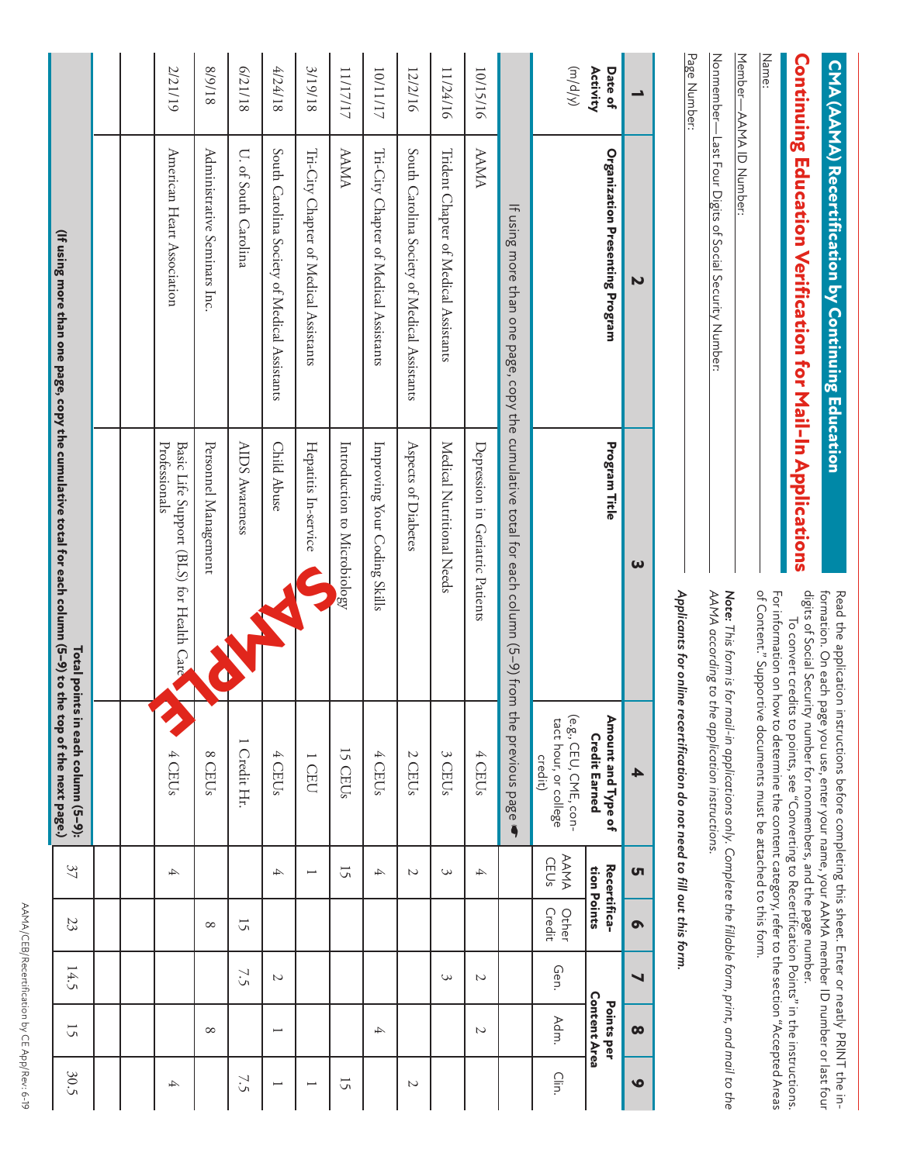| 30.5                     | $\overline{5}$             | 14.5                  | 23              | 37                          | Total points in each column (5-9):                                                                                                                                                         | (If using more than one page, copy the cumulative total for each column (5–9) to the top of the next page.) |                                                                   |                     |
|--------------------------|----------------------------|-----------------------|-----------------|-----------------------------|--------------------------------------------------------------------------------------------------------------------------------------------------------------------------------------------|-------------------------------------------------------------------------------------------------------------|-------------------------------------------------------------------|---------------------|
|                          |                            |                       |                 |                             |                                                                                                                                                                                            |                                                                                                             |                                                                   |                     |
|                          |                            |                       |                 |                             |                                                                                                                                                                                            |                                                                                                             |                                                                   |                     |
| 4                        |                            |                       |                 | 4                           | 4 CEUs                                                                                                                                                                                     | Professionals<br>Basic Life Support (BLS) for Health Care                                                   | American Heart Association                                        | 2/21/19             |
|                          | ${}^{\circ}$               |                       | ${}^{\circ}$    |                             | $\infty$<br><b>CEUs</b>                                                                                                                                                                    | Personnel Management                                                                                        | Administrative Seminars Inc                                       | 81/6/8              |
| 7.5                      |                            | 7.5                   | 15              |                             | 1 Credit Hr.                                                                                                                                                                               | AIDS Awareness                                                                                              | U. of South Carolina                                              | 81/17/9             |
| $\overline{\phantom{0}}$ | $\overline{\phantom{0}}$   | $\sim$                |                 | 4                           | 4<br>CEUs                                                                                                                                                                                  | Child Abuse                                                                                                 | South Carolina Society of Medical Assistants                      | 4/24/18             |
| $\overline{\phantom{0}}$ |                            |                       |                 | $\overline{\phantom{0}}$    | I CEU                                                                                                                                                                                      | Hepatitis In-service                                                                                        | Tri-City Chapter of Medical Assistants                            | 8119118             |
| $\overline{5}$           |                            |                       |                 | 15                          | 15 CEUs                                                                                                                                                                                    | Introduction to Microbiology                                                                                | AAMA                                                              | 11/17/17            |
|                          | 4                          |                       |                 | 4                           | 4 CEUs                                                                                                                                                                                     | Improving Your Coding Skills                                                                                | Tri-City Chapter of Medical Assistants                            | 10/11/17            |
| $\overline{c}$           |                            |                       |                 | $\sim$                      | 2 CEUs                                                                                                                                                                                     | Aspects of Diabetes                                                                                         | South Carolina Society of Medical Assistants                      | 12/2/16             |
|                          |                            | 3                     |                 | 3                           | S<br><b>CEUs</b>                                                                                                                                                                           | Medical Nutrional Needs                                                                                     | Trident Chapter of Medical Assistants                             | 11/24/16            |
|                          | $\overline{c}$             | $\overline{c}$        |                 | 4                           | 4 CEUs                                                                                                                                                                                     | Depression in Geriatric Patients                                                                            | AAMA                                                              | 10/15/16            |
|                          |                            |                       |                 |                             | the previous page<br>$\ddot{\phantom{a}}$                                                                                                                                                  | If using more than one page, copy the cumulative total for each column (5–9) from                           |                                                                   |                     |
| ⊂lin.                    | Adm.                       | Gen.                  | Other<br>Credit | AAMA<br>CEUs                | (e.g., CEU, CME, con-<br>tact hour, or college<br>credit)                                                                                                                                  |                                                                                                             |                                                                   | $(Mp/\omega)$       |
|                          | Content Area<br>Points per |                       |                 | Recertifica-<br>tion Points | Amount and Type of<br><b>Credit Earned</b>                                                                                                                                                 | Program Title                                                                                               | <b>Organization Presenting Program</b>                            | Date of<br>Activity |
| $\bullet$                | $\boldsymbol{\infty}$      | $\blacktriangleright$ | Ó               | ហ                           | ┻                                                                                                                                                                                          | ω                                                                                                           | N                                                                 | ∸                   |
|                          |                            |                       |                 |                             | recertification do not need to fill out this form.                                                                                                                                         | Applicants for online                                                                                       |                                                                   | Page Number:        |
|                          |                            |                       |                 |                             | AAMA according to the application instructions.<br>Note: This form is for mail-in applications only. Complete the fillable form, print, and mail to the                                    |                                                                                                             | Nonmember-Last Four Digits of Social Security Number:             |                     |
|                          |                            |                       |                 |                             | of Content." Supportive documents must be attached to this form.<br>For information on how to determine the content category, refer to the section "Accepted Areas                         |                                                                                                             | Member-AAMA ID Number:                                            | Name:               |
|                          |                            |                       |                 |                             | digits of Social Security number for nonmembers, and the page number.<br>To convert credits to points, see "Converting to Recertification Points" in the instructions.                     |                                                                                                             | <b>Continuing Education Verification for Mail-In Applications</b> |                     |
|                          |                            |                       |                 |                             | formation. On each page you use, enter your name, your AAMA member ID number or last four<br>Read the application instructions before completing this sheet. Enter or neatly PRINT the in- |                                                                                                             | CMA (AAMA) Recertification by Continuing Education                |                     |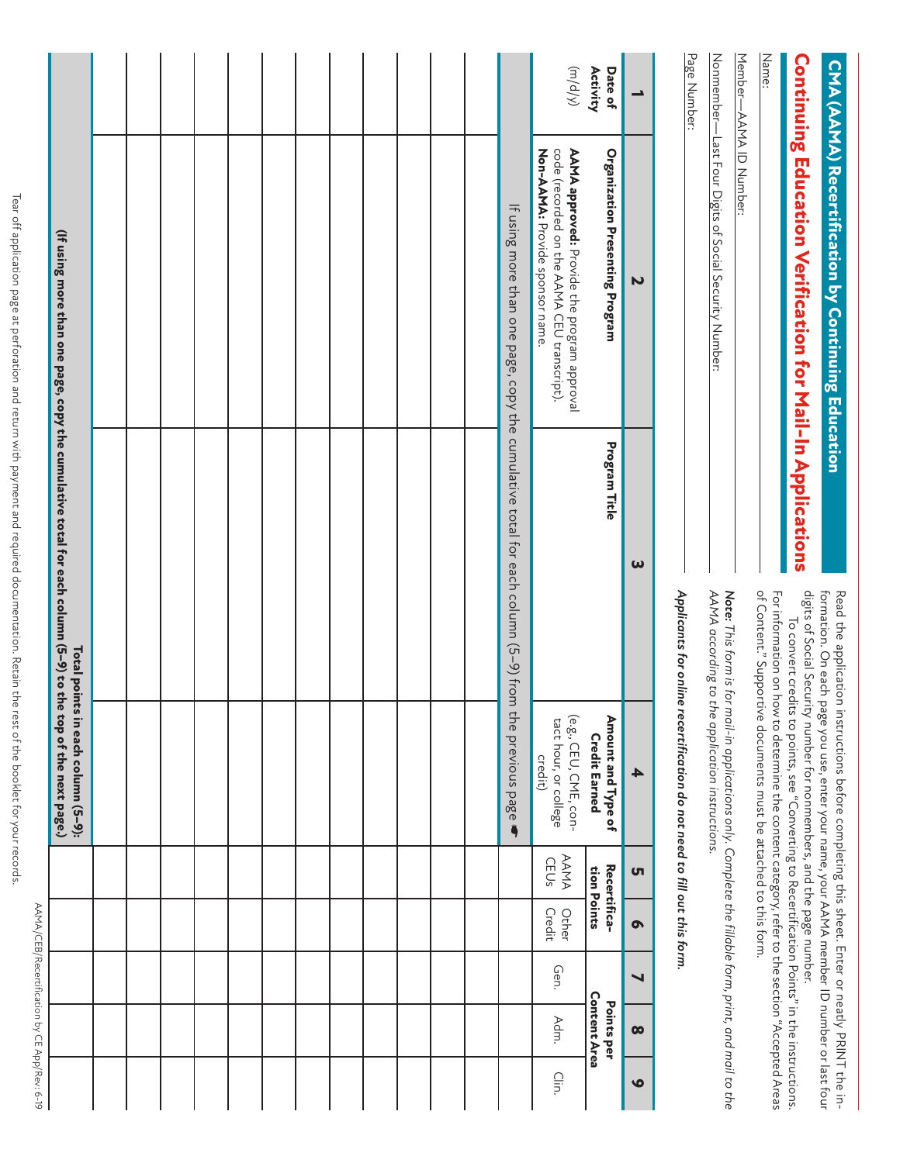AAMA/CEB/Recertification by CE App/Rev: 6-19 AAMA/CEB/Recertification by CE App/Rev: 6-19

|           |                                   |                       |                 |                             | Total points in each column (5-9):<br>e top of the next page.)                                                                                                         | (If using more than one page, copy the cumulative total for each column (5–9) to th                 |                                                                                                                               |                     |
|-----------|-----------------------------------|-----------------------|-----------------|-----------------------------|------------------------------------------------------------------------------------------------------------------------------------------------------------------------|-----------------------------------------------------------------------------------------------------|-------------------------------------------------------------------------------------------------------------------------------|---------------------|
|           |                                   |                       |                 |                             |                                                                                                                                                                        |                                                                                                     |                                                                                                                               |                     |
|           |                                   |                       |                 |                             |                                                                                                                                                                        |                                                                                                     |                                                                                                                               |                     |
|           |                                   |                       |                 |                             |                                                                                                                                                                        |                                                                                                     |                                                                                                                               |                     |
|           |                                   |                       |                 |                             |                                                                                                                                                                        |                                                                                                     |                                                                                                                               |                     |
|           |                                   |                       |                 |                             |                                                                                                                                                                        |                                                                                                     |                                                                                                                               |                     |
|           |                                   |                       |                 |                             |                                                                                                                                                                        |                                                                                                     |                                                                                                                               |                     |
|           |                                   |                       |                 |                             |                                                                                                                                                                        |                                                                                                     |                                                                                                                               |                     |
|           |                                   |                       |                 |                             |                                                                                                                                                                        |                                                                                                     |                                                                                                                               |                     |
|           |                                   |                       |                 |                             |                                                                                                                                                                        |                                                                                                     |                                                                                                                               |                     |
|           |                                   |                       |                 |                             |                                                                                                                                                                        |                                                                                                     |                                                                                                                               |                     |
|           |                                   |                       |                 |                             |                                                                                                                                                                        |                                                                                                     |                                                                                                                               |                     |
|           |                                   |                       |                 |                             |                                                                                                                                                                        |                                                                                                     |                                                                                                                               |                     |
|           |                                   |                       |                 |                             |                                                                                                                                                                        | If using more than one page, copy the cumulative total for each column (5–9) from the previous page |                                                                                                                               |                     |
| ⊂lin.     | Adm.                              | Gen.                  | Other<br>Credit | <b>AAMA</b><br>CEUs         | (e.g., CEU, CME, con-<br>tact hour, or college<br>credit)                                                                                                              |                                                                                                     | Non-AAMA: Provide sponsor name.<br>code (recorded on the AAMA CEU transcript).<br>AAMA approved: Provide the program approval | (Np/w)              |
|           | <b>Content Area</b><br>Points per |                       |                 | Recertifica-<br>tion Points | Amount and Type of<br><b>Credit Earned</b>                                                                                                                             | Program Title                                                                                       | Organization Presenting Program                                                                                               | Date of<br>Activity |
| $\bullet$ | $\infty$                          | $\blacktriangleright$ | $\bullet$       | <b>ST</b>                   | 4                                                                                                                                                                      | ω                                                                                                   | N                                                                                                                             | ∸                   |
|           |                                   |                       |                 |                             | Applicants for online recertification do not need to fill out this form.                                                                                               |                                                                                                     |                                                                                                                               | Page Number:        |
|           |                                   |                       |                 |                             | AAMA according to the application instructions.                                                                                                                        |                                                                                                     | Nonmember— Last Four Digits of Social Security Number:                                                                        |                     |
|           |                                   |                       |                 |                             | Note: This form is for mail-in applications only. Complete the fillable form, print, and mail to the                                                                   |                                                                                                     | Member―AAMA ID Number:                                                                                                        |                     |
|           |                                   |                       |                 |                             | of Content." Supportive documents must be attached to this form.<br>For information on how to determine the content category, refer to the section "Accepted Areas     |                                                                                                     |                                                                                                                               | Name:               |
|           |                                   |                       |                 |                             | digits of Social Security number for nonmembers, and the page number.<br>To convert credits to points, see "Converting to Recertification Points" in the instructions. |                                                                                                     | Continuing Education Verification for Mail-In Applications                                                                    |                     |
|           |                                   |                       |                 |                             | formation. On each page you use, enter your name, your AAMA member ID number or last four                                                                              |                                                                                                     | Chin (Animi Necet tilledilo) volitilialis Education                                                                           |                     |

**CMA (AAMA) Recertification by Continuing Education**

CMA (AAMA) Recertification by Continuing Education

Read the application instructions before completing this sheet. Enter or neatly PRINT the indigits of Social Security number for nonmembers, and the page number. formation. On each page you use, enter your name, your AAMA member ID number or last four

Read the application instructions before completing this sheet. Enter or neatly PRINT the in-